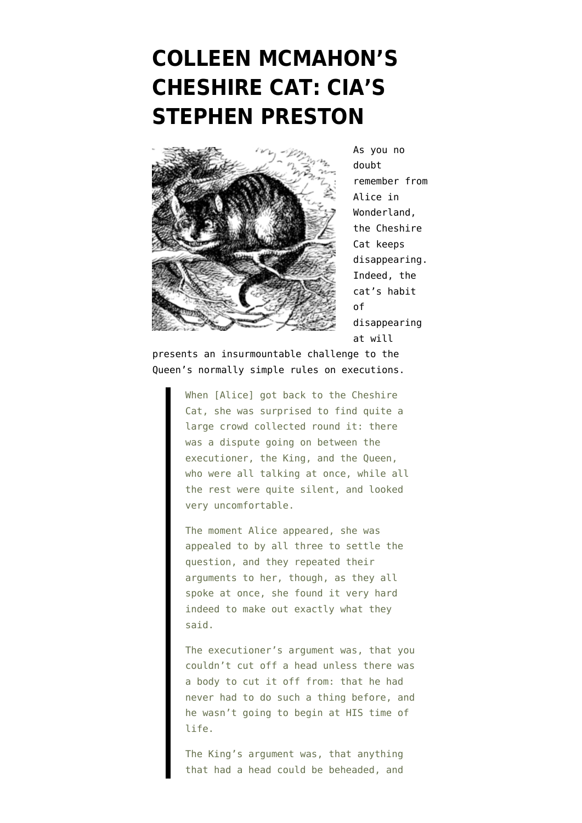## **[COLLEEN MCMAHON'S](https://www.emptywheel.net/2013/01/02/colleen-mcmahons-cheshire-cat-cias-stephen-preston/) [CHESHIRE CAT: CIA'S](https://www.emptywheel.net/2013/01/02/colleen-mcmahons-cheshire-cat-cias-stephen-preston/) [STEPHEN PRESTON](https://www.emptywheel.net/2013/01/02/colleen-mcmahons-cheshire-cat-cias-stephen-preston/)**



As you no doubt remember from [Alice in](http://www.gutenberg.org/files/11/11-pdf.pdf) [Wonderland](http://www.gutenberg.org/files/11/11-pdf.pdf), the Cheshire Cat keeps disappearing. Indeed, the cat's habit of disappearing at will

presents an insurmountable challenge to the Queen's normally simple rules on executions.

> When [Alice] got back to the Cheshire Cat, she was surprised to find quite a large crowd collected round it: there was a dispute going on between the executioner, the King, and the Queen, who were all talking at once, while all the rest were quite silent, and looked very uncomfortable.

The moment Alice appeared, she was appealed to by all three to settle the question, and they repeated their arguments to her, though, as they all spoke at once, she found it very hard indeed to make out exactly what they said.

The executioner's argument was, that you couldn't cut off a head unless there was a body to cut it off from: that he had never had to do such a thing before, and he wasn't going to begin at HIS time of life.

The King's argument was, that anything that had a head could be beheaded, and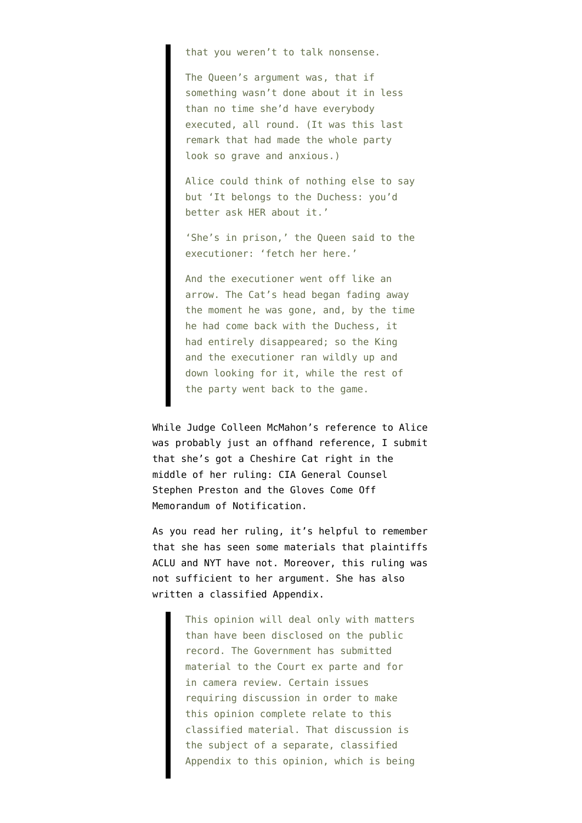that you weren't to talk nonsense.

The Queen's argument was, that if something wasn't done about it in less than no time she'd have everybody executed, all round. (It was this last remark that had made the whole party look so grave and anxious.)

Alice could think of nothing else to say but 'It belongs to the Duchess: you'd better ask HER about it.'

'She's in prison,' the Queen said to the executioner: 'fetch her here.'

And the executioner went off like an arrow. The Cat's head began fading away the moment he was gone, and, by the time he had come back with the Duchess, it had entirely disappeared; so the King and the executioner ran wildly up and down looking for it, while the rest of the party went back to the game.

While Judge Colleen McMahon's [reference](http://www.emptywheel.net/2013/01/02/judge-invokes-alice-in-wonderland-in-denying-nyt-and-aclu-targeted-killing-foias/) to Alice was probably just an offhand reference, I submit that she's got a Cheshire Cat right in the [middle of her ruling](http://t.co/2TykFBTm): CIA General Counsel Stephen Preston and the [Gloves Come Off](http://www.emptywheel.net/2012/04/21/the-gloves-come-off-memorandum-of-notification/) [Memorandum of Notification.](http://www.emptywheel.net/2012/04/21/the-gloves-come-off-memorandum-of-notification/)

As you read her ruling, it's helpful to remember that she has seen some materials that plaintiffs ACLU and NYT have not. Moreover, this ruling was not sufficient to her argument. She has also written a classified Appendix.

> This opinion will deal only with matters than have been disclosed on the public record. The Government has submitted material to the Court ex parte and for in camera review. Certain issues requiring discussion in order to make this opinion complete relate to this classified material. That discussion is the subject of a separate, classified Appendix to this opinion, which is being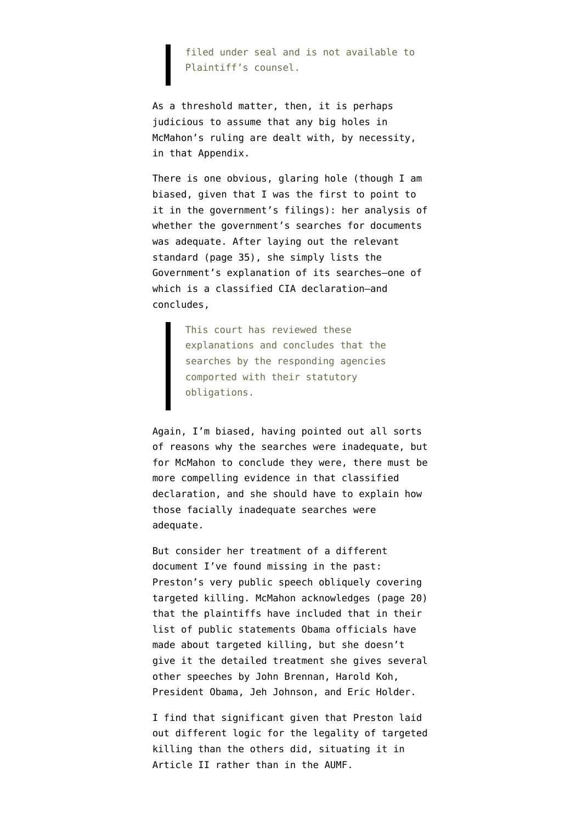filed under seal and is not available to Plaintiff's counsel.

As a threshold matter, then, it is perhaps judicious to assume that any big holes in McMahon's ruling are dealt with, by necessity, in that Appendix.

There is one obvious, glaring hole (though I am biased, given that [I was the first to point to](http://www.emptywheel.net/2012/06/26/why-is-doj-deliberately-hiding-information-responsive-to-aclus-anwar-al-awlaki-foia/) [it](http://www.emptywheel.net/2012/06/26/why-is-doj-deliberately-hiding-information-responsive-to-aclus-anwar-al-awlaki-foia/) in the government's filings): her analysis of whether the government's searches for documents was adequate. After laying out the relevant standard (page 35), she simply lists the Government's explanation of its searches–one of which is a classified CIA declaration–and concludes,

> This court has reviewed these explanations and concludes that the searches by the responding agencies comported with their statutory obligations.

Again, I'm biased, having pointed out all sorts of reasons why the searches were inadequate, but for McMahon to conclude they were, there must be more compelling evidence in that classified declaration, and she should have to explain how those facially inadequate searches were adequate.

But consider her treatment of a different document [I've found missing](http://www.emptywheel.net/2012/06/22/anwar-al-awlaki-foia-the-cia-speech-the-cia-did-not-mention/) in the past: [Preston's very public speech](http://www.lawfareblog.com/2012/04/remarks-of-cia-general-counsel-stephen-preston-at-harvard-law-school/) obliquely covering targeted killing. McMahon acknowledges (page 20) that the plaintiffs have included that in their list of public statements Obama officials have made about targeted killing, but she doesn't give it the detailed treatment she gives several other speeches by John Brennan, Harold Koh, President Obama, Jeh Johnson, and Eric Holder.

I find that significant given that [Preston laid](http://www.emptywheel.net/2012/04/12/the-cias-four-box-of-death/) [out different logic](http://www.emptywheel.net/2012/04/12/the-cias-four-box-of-death/) for the legality of targeted killing than the others did, situating it in Article II rather than in the AUMF.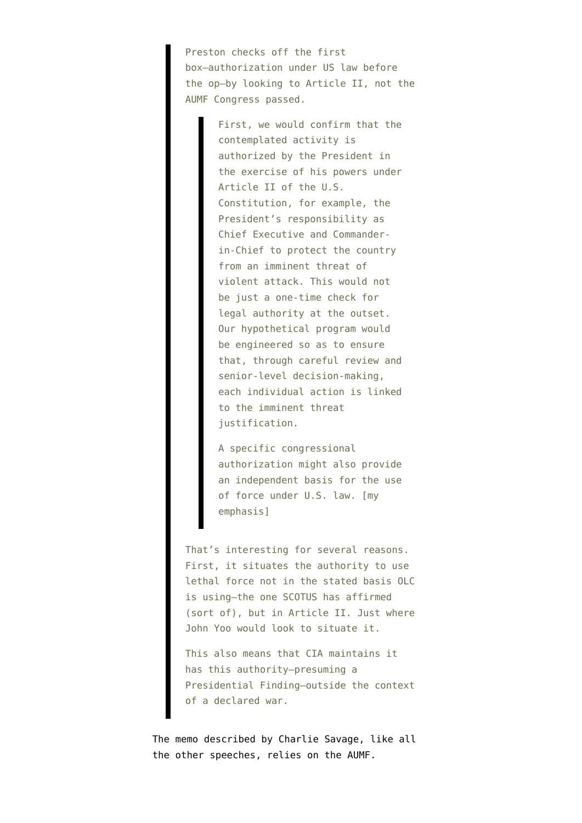Preston checks off the first box–authorization under US law before the op–by looking to Article II, not the AUMF Congress passed.

> First, we would confirm that the contemplated activity is authorized by the President in the exercise of his powers under Article II of the U.S. Constitution, for example, the President's responsibility as Chief Executive and Commanderin-Chief to protect the country from an imminent threat of violent attack. This would not be just a one-time check for legal authority at the outset. Our hypothetical program would be engineered so as to ensure that, through careful review and senior-level decision-making, each individual action is linked to the imminent threat justification.

A specific congressional authorization might also provide an independent basis for the use of force under U.S. law. [my emphasis]

That's interesting for several reasons. First, it situates the authority to use lethal force not in the stated basis OLC is using–the one SCOTUS has affirmed (sort of), but in Article II. Just where John Yoo would look to situate it.

This also means that CIA maintains it has this authority–presuming a Presidential Finding–outside the context of a declared war.

The [memo described by Charlie Savage](https://www.nytimes.com/2011/10/09/world/middleeast/secret-us-memo-made-legal-case-to-kill-a-citizen.html?_r=1&pagewanted=all), like all the other speeches, relies on the AUMF.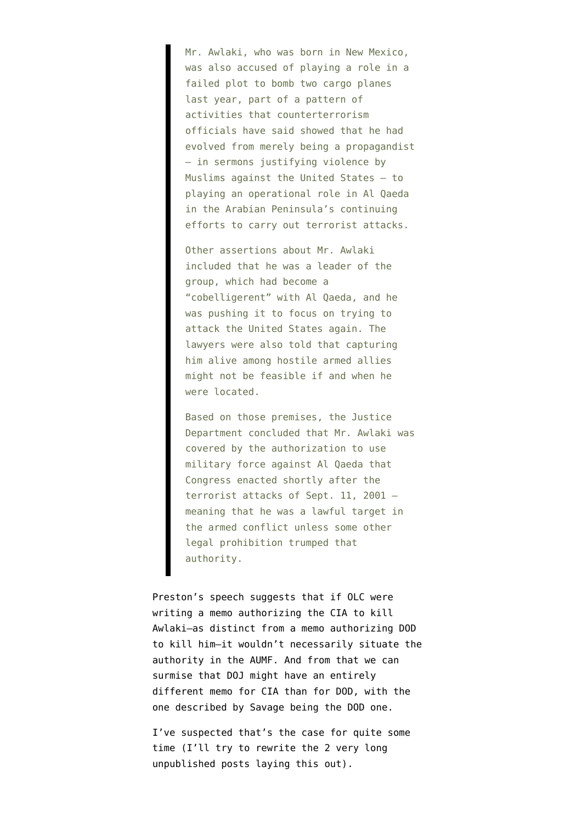Mr. Awlaki, who was born in New Mexico, was also accused of playing a role in a failed plot to bomb two cargo planes last year, part of a pattern of activities that counterterrorism officials have said showed that he had evolved from merely being a propagandist — in sermons justifying violence by Muslims against the United States — to playing an operational role in Al Qaeda in the Arabian Peninsula's continuing efforts to carry out terrorist attacks.

Other assertions about Mr. Awlaki included that he was a leader of the group, which had become a "cobelligerent" with Al Qaeda, and he was pushing it to focus on trying to attack the United States again. The lawyers were also told that capturing him alive among hostile armed allies might not be feasible if and when he were located.

Based on those premises, the Justice Department concluded that Mr. Awlaki was covered by the authorization to use military force against Al Qaeda that Congress enacted shortly after the terrorist attacks of Sept. 11, 2001 meaning that he was a lawful target in the armed conflict unless some other legal prohibition trumped that authority.

Preston's speech suggests that if OLC were writing a memo authorizing the CIA to kill Awlaki–as distinct from a memo authorizing DOD to kill him–it wouldn't necessarily situate the authority in the AUMF. And from that we can surmise that DOJ might have an entirely different memo for CIA than for DOD, with the one described by Savage being the DOD one.

I've suspected that's the case for quite some time (I'll try to rewrite the 2 very long unpublished posts laying this out).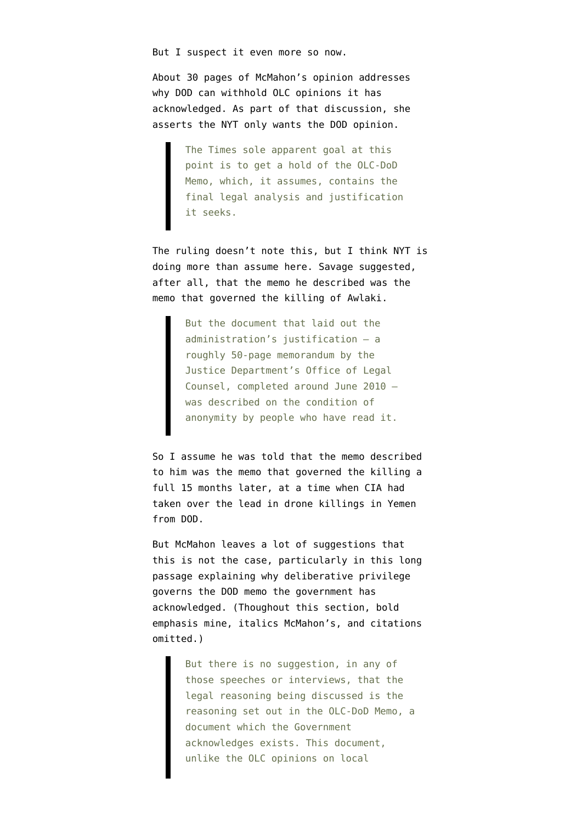But I suspect it even more so now.

About 30 pages of McMahon's opinion addresses why DOD can withhold OLC opinions it has acknowledged. As part of that discussion, she asserts the NYT only wants the DOD opinion.

> The Times sole apparent goal at this point is to get a hold of the OLC-DoD Memo, which, it assumes, contains the final legal analysis and justification it seeks.

The ruling doesn't note this, but I think NYT is doing more than assume here. Savage suggested, after all, that the memo he described was the memo that governed the killing of Awlaki.

> But the document that laid out the administration's justification — a roughly 50-page memorandum by the Justice Department's Office of Legal Counsel, completed around June 2010 was described on the condition of anonymity by people who have read it.

So I assume he was told that the memo described to him was the memo that governed the killing a full 15 months later, at a time when CIA had taken over the lead in drone killings in Yemen from DOD.

But McMahon leaves a lot of suggestions that this is not the case, particularly in this long passage explaining why deliberative privilege governs the DOD memo the government has acknowledged. (Thoughout this section, bold emphasis mine, italics McMahon's, and citations omitted.)

> But there is no suggestion, in any of those speeches or interviews, that the legal reasoning being discussed is the reasoning set out in the OLC-DoD Memo, a document which the Government acknowledges exists. This document, unlike the OLC opinions on local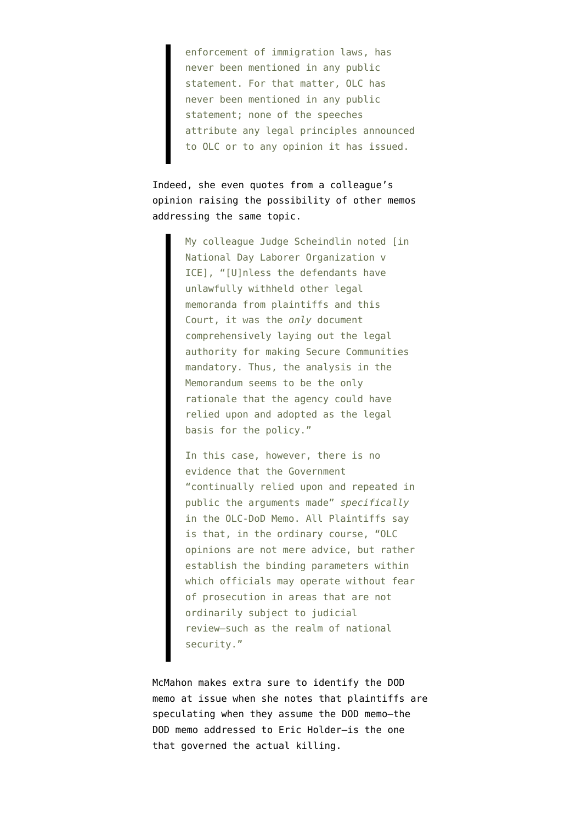enforcement of immigration laws, has never been mentioned in any public statement. For that matter, OLC has never been mentioned in any public statement; none of the speeches attribute any legal principles announced to OLC or to any opinion it has issued.

Indeed, she even quotes from a colleague's opinion raising the possibility of other memos addressing the same topic.

> My colleague Judge Scheindlin noted [in National Day Laborer Organization v ICE], "[U]nless the defendants have unlawfully withheld other legal memoranda from plaintiffs and this Court, it was the *only* document comprehensively laying out the legal authority for making Secure Communities mandatory. Thus, the analysis in the Memorandum seems to be the only rationale that the agency could have relied upon and adopted as the legal basis for the policy."

In this case, however, there is no evidence that the Government "continually relied upon and repeated in public the arguments made" *specifically* in the OLC-DoD Memo. All Plaintiffs say is that, in the ordinary course, "OLC opinions are not mere advice, but rather establish the binding parameters within which officials may operate without fear of prosecution in areas that are not ordinarily subject to judicial review–such as the realm of national security."

McMahon makes extra sure to identify the DOD memo at issue when she notes that plaintiffs are speculating when they assume the DOD memo–the DOD memo addressed to Eric Holder–is the one that governed the actual killing.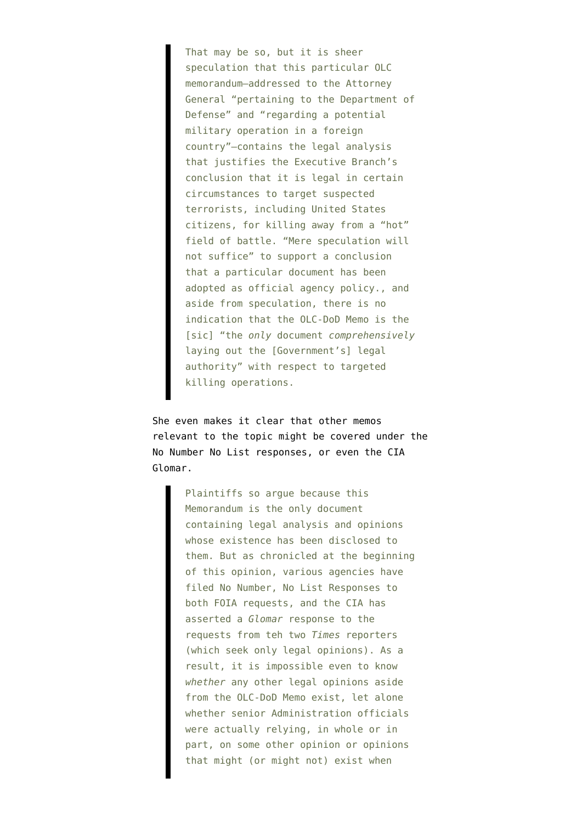That may be so, but it is sheer speculation that this particular OLC memorandum–addressed to the Attorney General "pertaining to the Department of Defense" and "regarding a potential military operation in a foreign country"–contains the legal analysis that justifies the Executive Branch's conclusion that it is legal in certain circumstances to target suspected terrorists, including United States citizens, for killing away from a "hot" field of battle. "Mere speculation will not suffice" to support a conclusion that a particular document has been adopted as official agency policy., and aside from speculation, there is no indication that the OLC-DoD Memo is the [sic] "the *only* document *comprehensively* laving out the [Government's] legal authority" with respect to targeted killing operations.

She even makes it clear that other memos relevant to the topic might be covered under the No Number No List responses, or even the CIA Glomar.

> Plaintiffs so argue because this Memorandum is the only document containing legal analysis and opinions whose existence has been disclosed to them. But as chronicled at the beginning of this opinion, various agencies have filed No Number, No List Responses to both FOIA requests, and the CIA has asserted a *Glomar* response to the requests from teh two *Times* reporters (which seek only legal opinions). As a result, it is impossible even to know *whether* any other legal opinions aside from the OLC-DoD Memo exist, let alone whether senior Administration officials were actually relying, in whole or in part, on some other opinion or opinions that might (or might not) exist when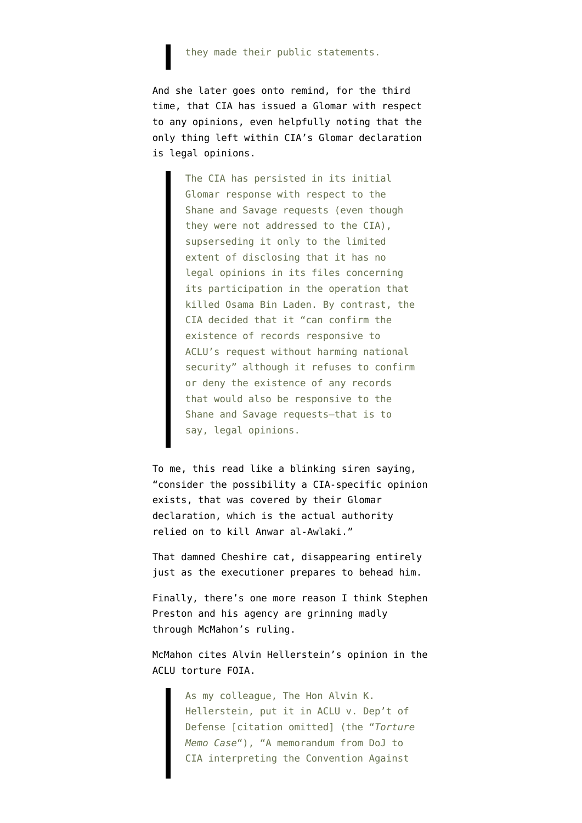## they made their public statements.

And she later goes onto remind, for the third time, that CIA has issued a Glomar with respect to any opinions, even helpfully noting that the only thing left within CIA's Glomar declaration is legal opinions.

> The CIA has persisted in its initial Glomar response with respect to the Shane and Savage requests (even though they were not addressed to the CIA), supserseding it only to the limited extent of disclosing that it has no legal opinions in its files concerning its participation in the operation that killed Osama Bin Laden. By contrast, the CIA decided that it "can confirm the existence of records responsive to ACLU's request without harming national security" although it refuses to confirm or deny the existence of any records that would also be responsive to the Shane and Savage requests–that is to say, legal opinions.

To me, this read like a blinking siren saying, "consider the possibility a CIA-specific opinion exists, that was covered by their Glomar declaration, which is the actual authority relied on to kill Anwar al-Awlaki."

That damned Cheshire cat, disappearing entirely just as the executioner prepares to behead him.

Finally, there's one more reason I think Stephen Preston and his agency are grinning madly through McMahon's ruling.

McMahon cites Alvin Hellerstein's opinion in the ACLU torture FOIA.

> As my colleague, The Hon Alvin K. Hellerstein, put it in ACLU v. Dep't of Defense [citation omitted] (the "*Torture Memo Case*"), "A memorandum from DoJ to CIA interpreting the Convention Against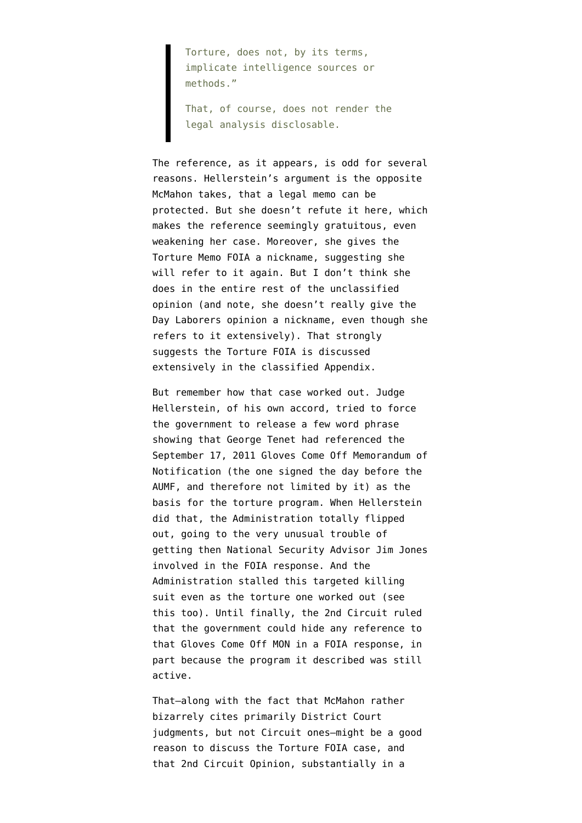Torture, does not, by its terms, implicate intelligence sources or methods."

That, of course, does not render the legal analysis disclosable.

The reference, as it appears, is odd for several reasons. Hellerstein's argument is the opposite McMahon takes, that a legal memo can be protected. But she doesn't refute it here, which makes the reference seemingly gratuitous, even weakening her case. Moreover, she gives the Torture Memo FOIA a nickname, suggesting she will refer to it again. But I don't think she does in the entire rest of the unclassified opinion (and note, she doesn't really give the Day Laborers opinion a nickname, even though she refers to it extensively). That strongly suggests the Torture FOIA is discussed extensively in the classified Appendix.

But remember how that case worked out. Judge Hellerstein, of his own accord, tried to force the government to release a few word phrase showing that George Tenet had referenced the [September 17, 2011 Gloves Come Off Memorandum of](http://www.emptywheel.net/2012/04/21/the-gloves-come-off-memorandum-of-notification/) [Notification](http://www.emptywheel.net/2012/04/21/the-gloves-come-off-memorandum-of-notification/) (the one signed the day before the AUMF, and therefore not limited by it) as the basis for the torture program. When Hellerstein did that, the Administration totally flipped out, going to the very unusual trouble of getting then [National Security Advisor Jim Jones](http://www.emptywheel.net/2012/04/20/the-cias-nscs-presidents-torture-program/) [involved](http://www.emptywheel.net/2012/04/20/the-cias-nscs-presidents-torture-program/) in the FOIA response. And the Administration [stalled this targeted killing](http://www.emptywheel.net/2012/04/23/yet-more-white-house-involvement-in-foia-responses/) [suit](http://www.emptywheel.net/2012/04/23/yet-more-white-house-involvement-in-foia-responses/) even as the torture one worked out ([see](http://www.emptywheel.net/2012/04/24/is-the-government-worried-about-revealing-broader-targeting-killing-authority-in-the-drone-foias/) [this too\)](http://www.emptywheel.net/2012/04/24/is-the-government-worried-about-revealing-broader-targeting-killing-authority-in-the-drone-foias/). Until finally, the [2nd Circuit ruled](http://www.emptywheel.net/2012/05/21/2nd-circuit-president-can-declare-proof-that-president-authorized-torture-secret/) that the government could hide any reference to that Gloves Come Off MON in a FOIA response, in part because the program it described was still active.

That–along with the fact that McMahon rather bizarrely cites primarily District Court judgments, but not Circuit ones–might be a good reason to discuss the Torture FOIA case, and that 2nd Circuit Opinion, substantially in a